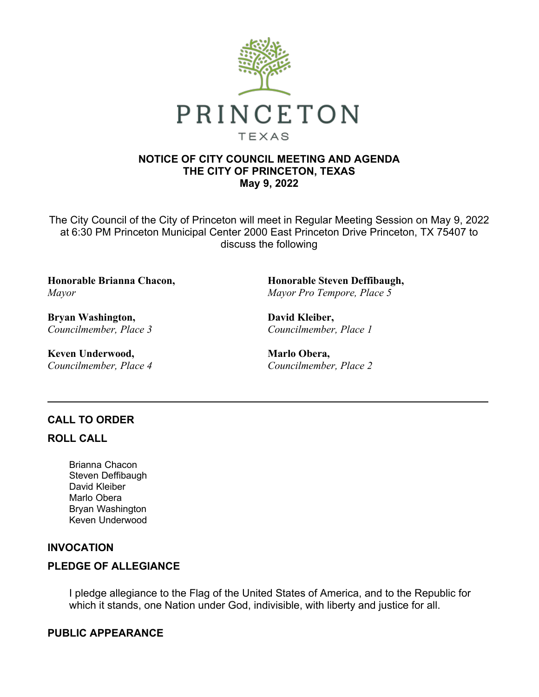

## **NOTICE OF CITY COUNCIL MEETING AND AGENDA THE CITY OF PRINCETON, TEXAS May 9, 2022**

The City Council of the City of Princeton will meet in Regular Meeting Session on May 9, 2022 at 6:30 PM Princeton Municipal Center 2000 East Princeton Drive Princeton, TX 75407 to discuss the following

**Honorable Brianna Chacon,**  *Mayor*

**Bryan Washington,**  *Councilmember, Place 3*

**Keven Underwood,**  *Councilmember, Place 4* **Honorable Steven Deffibaugh,**  *Mayor Pro Tempore, Place 5*

**David Kleiber,**  *Councilmember, Place 1*

**Marlo Obera,**  *Councilmember, Place 2*

# **CALL TO ORDER**

## **ROLL CALL**

Brianna Chacon Steven Deffibaugh David Kleiber Marlo Obera Bryan Washington Keven Underwood

# **INVOCATION**

# **PLEDGE OF ALLEGIANCE**

I pledge allegiance to the Flag of the United States of America, and to the Republic for which it stands, one Nation under God, indivisible, with liberty and justice for all.

# **PUBLIC APPEARANCE**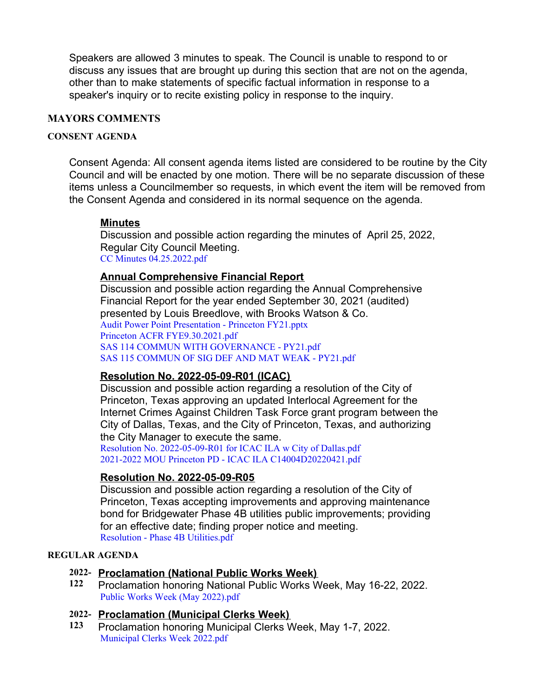Speakers are allowed 3 minutes to speak. The Council is unable to respond to or discuss any issues that are brought up during this section that are not on the agenda, other than to make statements of specific factual information in response to a speaker's inquiry or to recite existing policy in response to the inquiry.

## **MAYORS COMMENTS**

#### **CONSENT AGENDA**

Consent Agenda: All consent agenda items listed are considered to be routine by the City Council and will be enacted by one motion. There will be no separate discussion of these items unless a Councilmember so requests, in which event the item will be removed from the Consent Agenda and considered in its normal sequence on the agenda.

## **Minutes**

Discussion and possible action regarding the minutes of April 25, 2022, Regular City Council Meeting. [CC Minutes 04.25.2022.pdf](https://legistarweb-production.s3.amazonaws.com/uploads/attachment/pdf/1361940/CC_Minutes_04.25.2022.pdf)

## **Annual Comprehensive Financial Report**

Discussion and possible action regarding the Annual Comprehensive Financial Report for the year ended September 30, 2021 (audited) presented by Louis Breedlove, with Brooks Watson & Co. [Audit Power Point Presentation - Princeton FY21.pptx](https://legistarweb-production.s3.amazonaws.com/uploads/attachment/pdf/1361944/Audit_Power_Point_Presentation_-_Princeton_FY21.pdf) [Princeton ACFR FYE9.30.2021.pdf](https://legistarweb-production.s3.amazonaws.com/uploads/attachment/pdf/1361941/Princeton_ACFR_FYE9.30.2021.pdf) [SAS 114 COMMUN WITH GOVERNANCE - PY21.pdf](https://legistarweb-production.s3.amazonaws.com/uploads/attachment/pdf/1361943/SAS_114_COMMUN_WITH_GOVERNANCE_-_PY21.pdf) [SAS 115 COMMUN OF SIG DEF AND MAT WEAK - PY21.pdf](https://legistarweb-production.s3.amazonaws.com/uploads/attachment/pdf/1361942/SAS_115_COMMUN_OF_SIG_DEF_AND_MAT_WEAK_-_PY21.pdf)

# **Resolution No. 2022-05-09-R01 (ICAC)**

Discussion and possible action regarding a resolution of the City of Princeton, Texas approving an updated Interlocal Agreement for the Internet Crimes Against Children Task Force grant program between the City of Dallas, Texas, and the City of Princeton, Texas, and authorizing the City Manager to execute the same.

[Resolution No. 2022-05-09-R01 for ICAC ILA w City of Dallas.pdf](https://legistarweb-production.s3.amazonaws.com/uploads/attachment/pdf/1365082/Resolution_No._2022-05-09-R01_for_ICAC_ILA_w_City_of_Dallas.pdf) [2021-2022 MOU Princeton PD - ICAC ILA C14004D20220421.pdf](https://legistarweb-production.s3.amazonaws.com/uploads/attachment/pdf/1361939/2021-2022_MOU_Princeton_PD_-_ICAC_ILA_C14004D20220421.pdf)

# **Resolution No. 2022-05-09-R05**

Discussion and possible action regarding a resolution of the City of Princeton, Texas accepting improvements and approving maintenance bond for Bridgewater Phase 4B utilities public improvements; providing for an effective date; finding proper notice and meeting. [Resolution - Phase 4B Utilities.pdf](https://legistarweb-production.s3.amazonaws.com/uploads/attachment/pdf/1366029/Resolution_-_Phase_4B_Utilities.pdf)

## **REGULAR AGENDA**

## **2022- Proclamation (National Public Works Week)**

**122** Proclamation honoring National Public Works Week, May 16-22, 2022. [Public Works Week \(May 2022\).pdf](https://legistarweb-production.s3.amazonaws.com/uploads/attachment/pdf/1361959/Public_Works_Week__May_2022_.pdf)

# **2022- Proclamation (Municipal Clerks Week)**

**123** Proclamation honoring Municipal Clerks Week, May 1-7, 2022. [Municipal Clerks Week 2022.pdf](https://legistarweb-production.s3.amazonaws.com/uploads/attachment/pdf/1361960/Municipal_Clerks_Week_2022.pdf)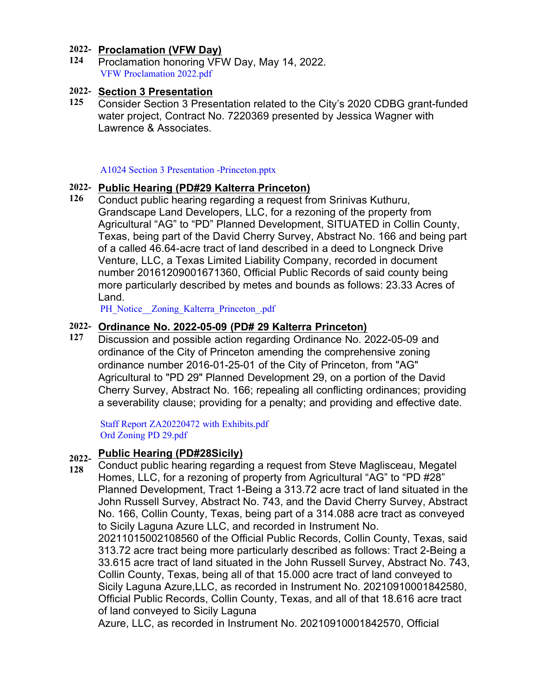# **2022- Proclamation (VFW Day)**

**124** Proclamation honoring VFW Day, May 14, 2022. [VFW Proclamation 2022.pdf](https://legistarweb-production.s3.amazonaws.com/uploads/attachment/pdf/1363196/VFW_Proclamation_2022.pdf)

# **2022- Section 3 Presentation**

**125** Consider Section 3 Presentation related to the City's 2020 CDBG grant-funded water project, Contract No. 7220369 presented by Jessica Wagner with Lawrence & Associates.

## [A1024 Section 3 Presentation -Princeton.pptx](https://legistarweb-production.s3.amazonaws.com/uploads/attachment/pdf/1360105/A1024_Section_3_Presentation_-Princeton.pdf)

## **2022- Public Hearing (PD#29 Kalterra Princeton)**

**126** Conduct public hearing regarding a request from Srinivas Kuthuru, Grandscape Land Developers, LLC, for a rezoning of the property from Agricultural "AG" to "PD" Planned Development, SITUATED in Collin County, Texas, being part of the David Cherry Survey, Abstract No. 166 and being part of a called 46.64-acre tract of land described in a deed to Longneck Drive Venture, LLC, a Texas Limited Liability Company, recorded in document number 20161209001671360, Official Public Records of said county being more particularly described by metes and bounds as follows: 23.33 Acres of Land.

PH\_Notice\_Zoning\_Kalterra\_Princeton\_.pdf

# **2022- Ordinance No. 2022-05-09 (PD# 29 Kalterra Princeton)**

**127** Discussion and possible action regarding Ordinance No. 2022-05-09 and ordinance of the City of Princeton amending the comprehensive zoning ordinance number 2016-01-25-01 of the City of Princeton, from "AG" Agricultural to "PD 29" Planned Development 29, on a portion of the David Cherry Survey, Abstract No. 166; repealing all conflicting ordinances; providing a severability clause; providing for a penalty; and providing and effective date.

[Staff Report ZA20220472 with Exhibits.pdf](https://legistarweb-production.s3.amazonaws.com/uploads/attachment/pdf/1362182/Staff_Report_ZA20220472_with_Exhibits.pdf) [Ord Zoning PD 29.pdf](https://legistarweb-production.s3.amazonaws.com/uploads/attachment/pdf/1366048/Ord_Zoning_PD_29.pdf)

#### **2022- Public Hearing (PD#28Sicily)**

**128** Conduct public hearing regarding a request from Steve Maglisceau, Megatel Homes, LLC, for a rezoning of property from Agricultural "AG" to "PD #28" Planned Development, Tract 1-Being a 313.72 acre tract of land situated in the John Russell Survey, Abstract No. 743, and the David Cherry Survey, Abstract No. 166, Collin County, Texas, being part of a 314.088 acre tract as conveyed to Sicily Laguna Azure LLC, and recorded in Instrument No.

20211015002108560 of the Official Public Records, Collin County, Texas, said 313.72 acre tract being more particularly described as follows: Tract 2-Being a 33.615 acre tract of land situated in the John Russell Survey, Abstract No. 743, Collin County, Texas, being all of that 15.000 acre tract of land conveyed to Sicily Laguna Azure,LLC, as recorded in Instrument No. 20210910001842580, Official Public Records, Collin County, Texas, and all of that 18.616 acre tract of land conveyed to Sicily Laguna

Azure, LLC, as recorded in Instrument No. 20210910001842570, Official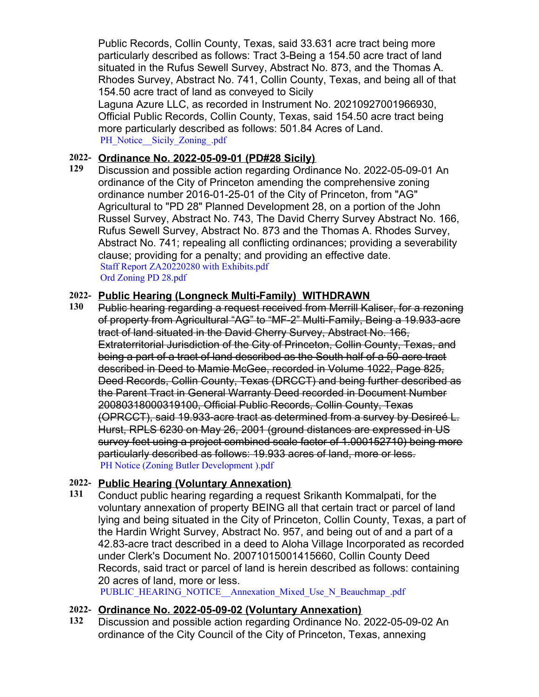Public Records, Collin County, Texas, said 33.631 acre tract being more particularly described as follows: Tract 3-Being a 154.50 acre tract of land situated in the Rufus Sewell Survey, Abstract No. 873, and the Thomas A. Rhodes Survey, Abstract No. 741, Collin County, Texas, and being all of that 154.50 acre tract of land as conveyed to Sicily

Laguna Azure LLC, as recorded in Instrument No. 20210927001966930, Official Public Records, Collin County, Texas, said 154.50 acre tract being more particularly described as follows: 501.84 Acres of Land. [PH\\_Notice\\_\\_Sicily\\_Zoning\\_.pdf](https://legistarweb-production.s3.amazonaws.com/uploads/attachment/pdf/1364359/PH_Notice__Sicily_Zoning_.pdf)

# **2022- Ordinance No. 2022-05-09-01 (PD#28 Sicily)**

**129** Discussion and possible action regarding Ordinance No. 2022-05-09-01 An ordinance of the City of Princeton amending the comprehensive zoning ordinance number 2016-01-25-01 of the City of Princeton, from "AG" Agricultural to "PD 28" Planned Development 28, on a portion of the John Russel Survey, Abstract No. 743, The David Cherry Survey Abstract No. 166, Rufus Sewell Survey, Abstract No. 873 and the Thomas A. Rhodes Survey, Abstract No. 741; repealing all conflicting ordinances; providing a severability clause; providing for a penalty; and providing an effective date. [Staff Report ZA20220280 with Exhibits.pdf](https://legistarweb-production.s3.amazonaws.com/uploads/attachment/pdf/1362190/Staff_Report_ZA20220280_with_Exhibits.pdf) [Ord Zoning PD 28.pdf](https://legistarweb-production.s3.amazonaws.com/uploads/attachment/pdf/1366054/Ord_Zoning_PD_28.pdf)

# **2022- Public Hearing (Longneck Multi-Family) WITHDRAWN**

**130** Public hearing regarding a request received from Merrill Kaliser, for a rezoning of property from Agricultural "AG" to "MF-2" Multi-Family, Being a 19.933-acre tract of land situated in the David Cherry Survey, Abstract No. 166, Extraterritorial Jurisdiction of the City of Princeton, Collin County, Texas, and being a part of a tract of land described as the South half of a 50-acre tract described in Deed to Mamie McGee, recorded in Volume 1022, Page 825, Deed Records, Collin County, Texas (DRCCT) and being further described as the Parent Tract in General Warranty Deed recorded in Document Number 20080318000319100, Official Public Records, Collin County, Texas (OPRCCT), said 19.933-acre tract as determined from a survey by Desireé L. Hurst, RPLS 6230 on May 26, 2001 (ground distances are expressed in US survey feet using a project combined scale factor of 1.000152710) being more particularly described as follows: 19.933 acres of land, more or less. [PH Notice \(Zoning Butler Development \).pdf](https://legistarweb-production.s3.amazonaws.com/uploads/attachment/pdf/1358272/PH_Notice__Zoning_Butler_Development__.pdf)

# **2022- Public Hearing (Voluntary Annexation)**

**131** Conduct public hearing regarding a request Srikanth Kommalpati, for the voluntary annexation of property BEING all that certain tract or parcel of land lying and being situated in the City of Princeton, Collin County, Texas, a part of the Hardin Wright Survey, Abstract No. 957, and being out of and a part of a 42.83-acre tract described in a deed to Aloha Village Incorporated as recorded under Clerk's Document No. 20071015001415660, Collin County Deed Records, said tract or parcel of land is herein described as follows: containing 20 acres of land, more or less.

PUBLIC\_HEARING\_NOTICE Annexation Mixed Use N\_Beauchmap\_.pdf

# **2022- Ordinance No. 2022-05-09-02 (Voluntary Annexation)**

**132** Discussion and possible action regarding Ordinance No. 2022-05-09-02 An ordinance of the City Council of the City of Princeton, Texas, annexing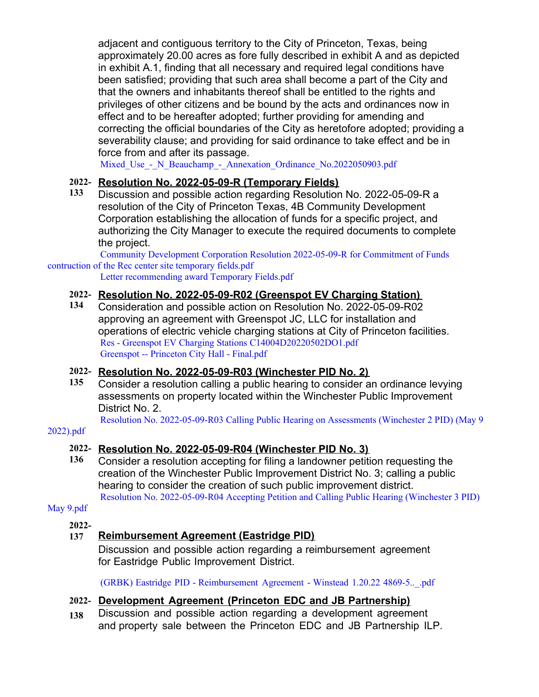adjacent and contiguous territory to the City of Princeton, Texas, being approximately 20.00 acres as fore fully described in exhibit A and as depicted in exhibit A.1, finding that all necessary and required legal conditions have been satisfied; providing that such area shall become a part of the City and that the owners and inhabitants thereof shall be entitled to the rights and privileges of other citizens and be bound by the acts and ordinances now in effect and to be hereafter adopted; further providing for amending and correcting the official boundaries of the City as heretofore adopted; providing a severability clause; and providing for said ordinance to take effect and be in force from and after its passage.

Mixed Use - N Beauchamp - Annexation Ordinance No.2022050903.pdf

# **2022- Resolution No. 2022-05-09-R (Temporary Fields)**

**133** Discussion and possible action regarding Resolution No. 2022-05-09-R a resolution of the City of Princeton Texas, 4B Community Development Corporation establishing the allocation of funds for a specific project, and authorizing the City Manager to execute the required documents to complete the project.

[Community Development Corporation Resolution 2022-05-09-R for Commitment of Funds](https://legistarweb-production.s3.amazonaws.com/uploads/attachment/pdf/1355725/Community_Development_Corporation_Resolution_2022-05-09-R_for_Commitment_of_Funds_contruction_of_the_Rec_center_site_temporary_fields.pdf) contruction of the Rec center site temporary fields.pdf

[Letter recommending award Temporary Fields.pdf](https://legistarweb-production.s3.amazonaws.com/uploads/attachment/pdf/1355726/Letter_recommending_award_Temporary_Fields.pdf)

# **2022- Resolution No. 2022-05-09-R02 (Greenspot EV Charging Station)**

**134** Consideration and possible action on Resolution No. 2022-05-09-R02 approving an agreement with Greenspot JC, LLC for installation and operations of electric vehicle charging stations at City of Princeton facilities. [Res - Greenspot EV Charging Stations C14004D20220502DO1.pdf](https://legistarweb-production.s3.amazonaws.com/uploads/attachment/pdf/1365125/Res_-_Greenspot_EV_Charging_Stations_C14004D20220502DO1.pdf) [Greenspot -- Princeton City Hall - Final.pdf](https://legistarweb-production.s3.amazonaws.com/uploads/attachment/pdf/1359855/Greenspot_--_Princeton_City_Hall_-_Final.pdf)

# **2022- Resolution No. 2022-05-09-R03 (Winchester PID No. 2)**

**135** Consider a resolution calling a public hearing to consider an ordinance levying assessments on property located within the Winchester Public Improvement District No. 2.

[Resolution No. 2022-05-09-R03 Calling Public Hearing on Assessments \(Winchester 2 PID\) \(May 9](https://legistarweb-production.s3.amazonaws.com/uploads/attachment/pdf/1361952/Resolution_No._2022-05-09-R03_Calling_Public_Hearing_on_Assessments__Winchester_2_PID____May_9_2022_.pdf)

# 2022).pdf

# **2022- Resolution No. 2022-05-09-R04 (Winchester PID No. 3)**

**136** Consider a resolution accepting for filing a landowner petition requesting the creation of the Winchester Public Improvement District No. 3; calling a public hearing to consider the creation of such public improvement district. [Resolution No. 2022-05-09-R04 Accepting Petition and Calling Public Hearing \(Winchester 3 PID\)](https://legistarweb-production.s3.amazonaws.com/uploads/attachment/pdf/1361954/Resolution_No._2022-05-09-R04_Accepting_Petition_and_Calling_Public_Hearing__Winchester_3_PID__May_9.pdf)

## May 9.pdf

# **2022-**

# **137 Reimbursement Agreement (Eastridge PID)**

Discussion and possible action regarding a reimbursement agreement for Eastridge Public Improvement District.

(GRBK) Eastridge PID - Reimbursement Agreement - Winstead 1.20.22 4869-5..\_.pdf

# **2022- Development Agreement (Princeton EDC and JB Partnership)**

**138** [Discussion and possible action regarding a development agreement](https://legistarweb-production.s3.amazonaws.com/uploads/attachment/pdf/1363152/_GRBK__Eastridge_PID_-_Reimbursement_Agreement_-_Winstead_1.20.22_4869-5.._.pdf)  and property sale between the Princeton EDC and JB Partnership ILP.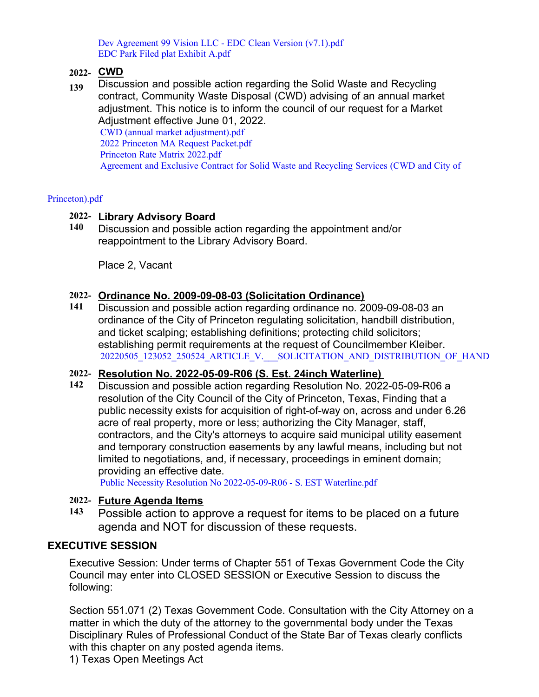Dev Agreement 99 Vision LLC - EDC Clean Version (v7.1).pdf [EDC Park Filed plat Exhibit A.pdf](https://legistarweb-production.s3.amazonaws.com/uploads/attachment/pdf/1362620/EDC_Park_Filed_plat_Exhibit_A.pdf)

## **2022- [CWD](https://legistarweb-production.s3.amazonaws.com/uploads/attachment/pdf/1365213/Dev_Agreement_99_Vision_LLC_-_EDC_Clean_Version__v7.1_.pdf)**

**139** Discussion and possible action regarding the Solid Waste and Recycling contract, Community Waste Disposal (CWD) advising of an annual market adjustment. This notice is to inform the council of our request for a Market Adjustment effective June 01, 2022.

[CWD \(annual market adjustment\).pdf](https://legistarweb-production.s3.amazonaws.com/uploads/attachment/pdf/1363200/CWD__annual_market_adjustment_.pdf) [2022 Princeton MA Request Packet.pdf](https://legistarweb-production.s3.amazonaws.com/uploads/attachment/pdf/1363201/2022_Princeton_MA_Request_Packet.pdf) [Princeton Rate Matrix 2022.pdf](https://legistarweb-production.s3.amazonaws.com/uploads/attachment/pdf/1363202/Princeton_Rate_Matrix_2022.pdf) Agreement and Exclusive Contract for Solid Waste and Recycling Services (CWD and City of

## [Princeton\).pdf](https://legistarweb-production.s3.amazonaws.com/uploads/attachment/pdf/1363203/Agreement_and_Exclusive_Contract_for_Solid_Waste_and_Recycling_Services__CWD_and_City_of_Princeton_.pdf)

## **2022- Library Advisory Board**

**140** Discussion and possible action regarding the appointment and/or reappointment to the Library Advisory Board.

Place 2, Vacant

## **2022- Ordinance No. 2009-09-08-03 (Solicitation Ordinance)**

**141** Discussion and possible action regarding ordinance no. 2009-09-08-03 an ordinance of the City of Princeton regulating solicitation, handbill distribution, and ticket scalping; establishing definitions; protecting child solicitors; establishing permit requirements at the request of Councilmember Kleiber. 20220505\_123052\_250524\_ARTICLE\_V. \_\_\_SOLICITATION\_AND\_DISTRIBUTION\_OF\_HAND

## **2022- Resolution No. 2022-05-09-R06 (S. Est. 24inch Waterline)**

**142** Discussion and possible action regarding Resolution No. 2022-05-09-R06 a resolution of the City Council of the City of Princeton, Texas, Finding that a public necessity exists for acquisition of right-of-way on, across and under 6.26 acre of real property, more or less; authorizing the City Manager, staff, contractors, and the City's attorneys to acquire said municipal utility easement and temporary construction easements by any lawful means, including but not limited to negotiations, and, if necessary, proceedings in eminent domain; providing an effective date.

[Public Necessity Resolution No 2022-05-09-R06 - S. EST Waterline.pdf](https://legistarweb-production.s3.amazonaws.com/uploads/attachment/pdf/1364313/Public_Necessity_Resolution_No_2022-05-09-R06_-_S._EST_Waterline.pdf)

## **2022- Future Agenda Items**

**143** Possible action to approve a request for items to be placed on a future agenda and NOT for discussion of these requests.

## **EXECUTIVE SESSION**

Executive Session: Under terms of Chapter 551 of Texas Government Code the City Council may enter into CLOSED SESSION or Executive Session to discuss the following:

Section 551.071 (2) Texas Government Code. Consultation with the City Attorney on a matter in which the duty of the attorney to the governmental body under the Texas Disciplinary Rules of Professional Conduct of the State Bar of Texas clearly conflicts with this chapter on any posted agenda items.

1) Texas Open Meetings Act